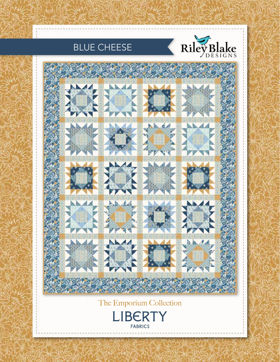



RUE CHE

### The Emporium Collection



 $\mathbb{C}$  and  $\mathbb{C}$  and  $\mathbb{C}$  and  $\mathbb{C}$  and  $\mathbb{C}$  and  $\mathbb{C}$  and  $\mathbb{C}$  and  $\mathbb{C}$  and  $\mathbb{C}$  and  $\mathbb{C}$  and  $\mathbb{C}$  and  $\mathbb{C}$  and  $\mathbb{C}$  and  $\mathbb{C}$  and  $\mathbb{C}$  and  $\mathbb{C}$  and  $\mathbb{C}$  and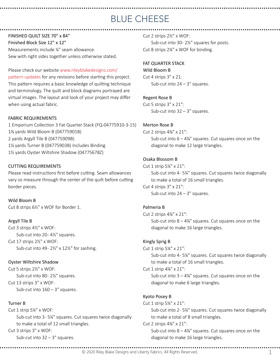FINISHED QUILT SIZE 70" x 84" Finished Block Size 12" x 12" Measurements include ¼" seam allowance. Sew with right sides together unless otherwise stated.

Please check our website www.rileyblakedesigns.com/ pattern-updates for any revisions before starting this project. This pattern requires a basic knowledge of quilting technique and terminology. The quilt and block diagrams portrayed are virtual images. The layout and look of your project may differ when using actual fabric.

#### FABRIC REQUIREMENTS

1 Emporium Collection 3 Fat Quarter Stack (FQ-04775910-3-15) 1% yards Wild Bloom B (04775901B) 2 yards Argyll Tile B (04775909B) 11/4 yards Turner B (04775903B) Includes Binding 1½ yards Oyster Wiltshire Shadow (04775678Z)

#### CUTTING REQUIREMENTS

Please read instructions first before cutting. Seam allowances vary so measure through the center of the quilt before cutting border pieces.

Wild Bloom B Cut 8 strips 6½" x WOF for Border 1.

#### Argyll Tile B

Cut 3 strips 4½" x WOF: Sub-cut into 20-41/2" squares. Cut 17 strips 2½" x WOF: Sub-cut into 49 - 2½" x 12½" for sashing.

#### Oyster Wiltshire Shadow

Cut 5 strips 2½" x WOF: Sub-cut into 80-21/<sub>2</sub>" squares. Cut 13 strips 3" x WOF: Sub-cut into  $160 - 3$ " squares.

#### Turner B

Cut 1 strip 5¼" x WOF: Sub-cut into 3-5¼" squares. Cut squares twice diagonally to make a total of 12 small triangles. Cut 3 strips 3" x WOF: Sub-cut into  $32 - 3$ " squares.

Cut 2 strips 2½" x WOF: Sub-cut into 30-2½" squares for posts. Cut 8 strips 2¼" x WOF for binding.

#### FAT QUARTER STACK

Wild Bloom B Cut 4 strips 3" x 21: Sub-cut into  $24 - 3$ " squares.

#### Regent Rose B

Cut 5 strips 3" x 21": Sub-cut into  $32 - 3$ " squares.

#### Merton Rose B

Cut 2 strips  $4\frac{1}{8}$ " x 21": Sub-cut into  $6 - 4\frac{7}{8}$ " squares. Cut squares once on the diagonal to make 12 large triangles.

#### Osaka Blossom B

Cut 1 strip 5¼" x 21": Sub-cut into 4-5¼" squares. Cut squares twice diagonally to make a total of 16 small triangles. Cut 4 strips 3" x 21": Sub-cut into  $24 - 3$ " squares.

#### Palmeria B

Cut 2 strips  $4\frac{1}{8}$ " x 21": Sub-cut into  $8 - 4\%$ " squares. Cut squares once on the diagonal to make 16 large triangles.

#### Kingly Sprig B

Cut 1 strip 5¼" x 21": Sub-cut into 4 - 5¼" squares. Cut squares twice diagonally to make a total of 16 small triangles. Cut  $1$  strip  $4\frac{7}{8}$ " x  $21$ ":

Sub-cut into  $3 - 4\frac{7}{8}$ " squares. Cut squares once on the diagonal to make 6 large triangles.

#### Kyoto Posey B

Cut 1 strip 5¼" x 21": Sub-cut into 2-5¼" squares. Cut squares twice diagonally to make a total of 8 small triangles. Cut 2 strips  $4\frac{1}{8}$ " x 21":

Sub-cut into  $8 - 4\frac{7}{8}$ " squares. Cut squares once on the diagonal to make 16 large triangles.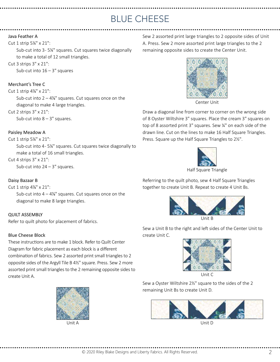#### Java Feather A

#### Cut 1 strip 5¼" x 21":

Sub-cut into 3-5¼" squares. Cut squares twice diagonally to make a total of 12 small triangles.

### Cut 3 strips 3" x 21":

Sub-cut into  $16 - 3$ " squares

#### Merchant's Tree C

Cut 1 strip 4%" x 21": Sub-cut into  $2 - 4\frac{1}{8}$ " squares. Cut squares once on the diagonal to make 4 large triangles. Cut 2 strips 3" x 21":

Sub-cut into  $8 - 3$ " squares.

#### Paisley Meadow A

Cut 1 strip 5¼" x 21":

Sub-cut into 4 - 5¼" squares. Cut squares twice diagonally to make a total of 16 small triangles.

#### Cut 4 strips 3" x 21":

Sub-cut into  $24 - 3$ " squares.

#### Daisy Bazaar B

Cut 1 strip 4%" x 21":

Sub-cut into  $4 - 4\frac{7}{8}$ " squares. Cut squares once on the diagonal to make 8 large triangles.

#### QUILT ASSEMBLY

Refer to quilt photo for placement of fabrics.

#### Blue Cheese Block

These instructions are to make 1 block. Refer to Quilt Center Diagram for fabric placement as each block is a different combination of fabrics. Sew 2 assorted print small triangles to 2 opposite sides of the Argyll Tile B 4½" square. Press. Sew 2 more assorted print small triangles to the 2 remaining opposite sides to create Unit A.



 $Unit \Delta$ 

Sew 2 assorted print large triangles to 2 opposite sides of Unit A. Press. Sew 2 more assorted print large triangles to the 2 remaining opposite sides to create the Center Unit.



Center Unit

Draw a diagonal line from corner to corner on the wrong side of 8 Oyster Wiltshire 3" squares. Place the cream 3" squares on top of 8 assorted print 3" squares. Sew ¼" on each side of the drawn line. Cut on the lines to make 16 Half Square Triangles. Press. Square up the Half Square Triangles to 2½".



Referring to the quilt photo, sew 4 Half Square Triangles

together to create Unit B. Repeat to create 4 Unit Bs.



Unit B

Sew a Unit B to the right and left sides of the Center Unit to create Unit C.



Sew a Oyster Wiltshire 2½" square to the sides of the 2 remaining Unit Bs to create Unit D.



Unit D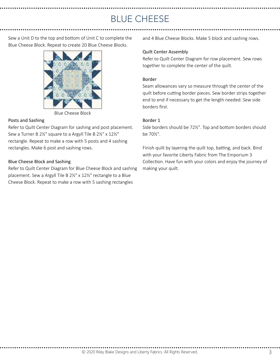Sew a Unit D to the top and bottom of Unit C to complete the Blue Cheese Block. Repeat to create 20 Blue Cheese Blocks.



Blue Cheese Block

#### Posts and Sashing

Refer to Quilt Center Diagram for sashing and post placement. Sew a Turner B 2½" square to a Argyll Tile B 2½" x 12½" rectangle. Repeat to make a row with 5 posts and 4 sashing rectangles. Make 6 post and sashing rows.

#### Blue Cheese Block and Sashing

Refer to Quilt Center Diagram for Blue Cheese Block and sashing placement. Sew a Argyll Tile B 2½" x 12½" rectangle to a Blue Cheese Block. Repeat to make a row with 5 sashing rectangles

and 4 Blue Cheese Blocks. Make 5 block and sashing rows.

#### Quilt Center Assembly

Refer to Quilt Center Diagram for row placement. Sew rows together to complete the center of the quilt.

#### Border

Seam allowances vary so measure through the center of the quilt before cutting border pieces. Sew border strips together end to end if necessary to get the length needed. Sew side borders first.

#### Border 1

Side borders should be 72½". Top and bottom borders should be 70½".

Finish quilt by layering the quilt top, batting, and back. Bind with your favorite Liberty Fabric from The Emporium 3 Collection. Have fun with your colors and enjoy the journey of making your quilt.